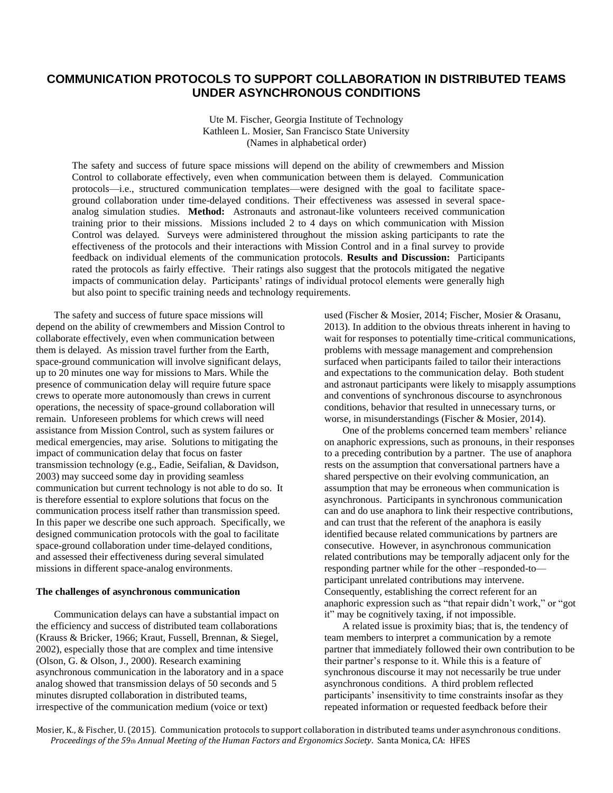# **COMMUNICATION PROTOCOLS TO SUPPORT COLLABORATION IN DISTRIBUTED TEAMS UNDER ASYNCHRONOUS CONDITIONS**

Ute M. Fischer, Georgia Institute of Technology Kathleen L. Mosier, San Francisco State University (Names in alphabetical order)

The safety and success of future space missions will depend on the ability of crewmembers and Mission Control to collaborate effectively, even when communication between them is delayed. Communication protocols—i.e., structured communication templates—were designed with the goal to facilitate spaceground collaboration under time-delayed conditions. Their effectiveness was assessed in several spaceanalog simulation studies. **Method:** Astronauts and astronaut-like volunteers received communication training prior to their missions. Missions included 2 to 4 days on which communication with Mission Control was delayed. Surveys were administered throughout the mission asking participants to rate the effectiveness of the protocols and their interactions with Mission Control and in a final survey to provide feedback on individual elements of the communication protocols. **Results and Discussion:** Participants rated the protocols as fairly effective. Their ratings also suggest that the protocols mitigated the negative impacts of communication delay. Participants' ratings of individual protocol elements were generally high but also point to specific training needs and technology requirements.

The safety and success of future space missions will depend on the ability of crewmembers and Mission Control to collaborate effectively, even when communication between them is delayed. As mission travel further from the Earth, space-ground communication will involve significant delays, up to 20 minutes one way for missions to Mars. While the presence of communication delay will require future space crews to operate more autonomously than crews in current operations, the necessity of space-ground collaboration will remain. Unforeseen problems for which crews will need assistance from Mission Control, such as system failures or medical emergencies, may arise. Solutions to mitigating the impact of communication delay that focus on faster transmission technology (e.g., Eadie, Seifalian, & Davidson, 2003) may succeed some day in providing seamless communication but current technology is not able to do so. It is therefore essential to explore solutions that focus on the communication process itself rather than transmission speed. In this paper we describe one such approach. Specifically, we designed communication protocols with the goal to facilitate space-ground collaboration under time-delayed conditions, and assessed their effectiveness during several simulated missions in different space-analog environments.

#### **The challenges of asynchronous communication**

Communication delays can have a substantial impact on the efficiency and success of distributed team collaborations (Krauss & Bricker, 1966; Kraut, Fussell, Brennan, & Siegel, 2002), especially those that are complex and time intensive (Olson, G. & Olson, J., 2000). Research examining asynchronous communication in the laboratory and in a space analog showed that transmission delays of 50 seconds and 5 minutes disrupted collaboration in distributed teams, irrespective of the communication medium (voice or text)

used (Fischer & Mosier, 2014; Fischer, Mosier & Orasanu, 2013). In addition to the obvious threats inherent in having to wait for responses to potentially time-critical communications, problems with message management and comprehension surfaced when participants failed to tailor their interactions and expectations to the communication delay. Both student and astronaut participants were likely to misapply assumptions and conventions of synchronous discourse to asynchronous conditions, behavior that resulted in unnecessary turns, or worse, in misunderstandings (Fischer & Mosier, 2014).

One of the problems concerned team members' reliance on anaphoric expressions, such as pronouns, in their responses to a preceding contribution by a partner. The use of anaphora rests on the assumption that conversational partners have a shared perspective on their evolving communication, an assumption that may be erroneous when communication is asynchronous. Participants in synchronous communication can and do use anaphora to link their respective contributions, and can trust that the referent of the anaphora is easily identified because related communications by partners are consecutive. However, in asynchronous communication related contributions may be temporally adjacent only for the responding partner while for the other –responded-to participant unrelated contributions may intervene. Consequently, establishing the correct referent for an anaphoric expression such as "that repair didn't work," or "got it" may be cognitively taxing, if not impossible.

A related issue is proximity bias; that is, the tendency of team members to interpret a communication by a remote partner that immediately followed their own contribution to be their partner's response to it. While this is a feature of synchronous discourse it may not necessarily be true under asynchronous conditions. A third problem reflected participants' insensitivity to time constraints insofar as they repeated information or requested feedback before their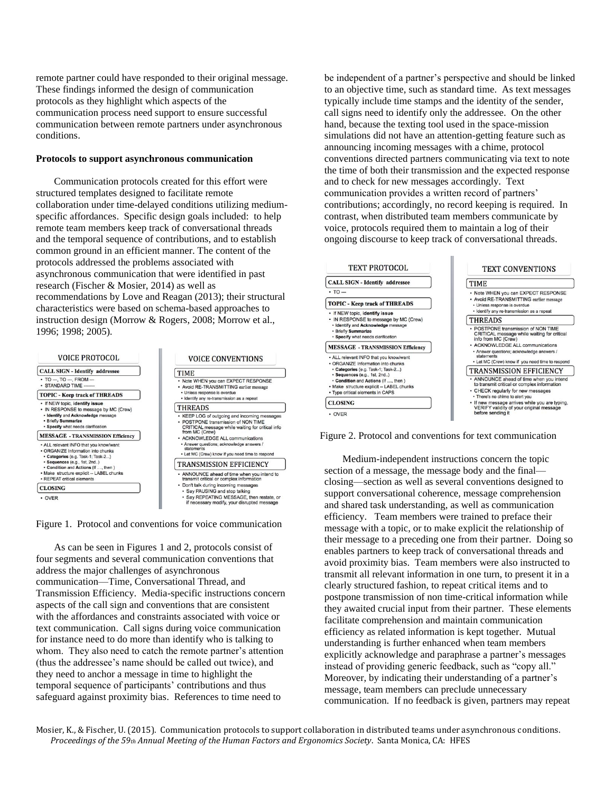remote partner could have responded to their original message. These findings informed the design of communication protocols as they highlight which aspects of the communication process need support to ensure successful communication between remote partners under asynchronous conditions.

## **Protocols to support asynchronous communication**

Communication protocols created for this effort were structured templates designed to facilitate remote collaboration under time-delayed conditions utilizing mediumspecific affordances. Specific design goals included: to help remote team members keep track of conversational threads and the temporal sequence of contributions, and to establish common ground in an efficient manner. The content of the protocols addressed the problems associated with asynchronous communication that were identified in past research (Fischer & Mosier, 2014) as well as recommendations by Love and Reagan (2013); their structural characteristics were based on schema-based approaches to instruction design (Morrow & Rogers, 2008; Morrow et al., 1996; 1998; 2005).





As can be seen in Figures 1 and 2, protocols consist of four segments and several communication conventions that address the major challenges of asynchronous communication—Time, Conversational Thread, and Transmission Efficiency. Media-specific instructions concern aspects of the call sign and conventions that are consistent with the affordances and constraints associated with voice or text communication. Call signs during voice communication for instance need to do more than identify who is talking to whom. They also need to catch the remote partner's attention (thus the addressee's name should be called out twice), and they need to anchor a message in time to highlight the temporal sequence of participants' contributions and thus safeguard against proximity bias. References to time need to

be independent of a partner's perspective and should be linked to an objective time, such as standard time. As text messages typically include time stamps and the identity of the sender, call signs need to identify only the addressee. On the other hand, because the texting tool used in the space-mission simulations did not have an attention-getting feature such as announcing incoming messages with a chime, protocol conventions directed partners communicating via text to note the time of both their transmission and the expected response and to check for new messages accordingly. Text communication provides a written record of partners' contributions; accordingly, no record keeping is required. In contrast, when distributed team members communicate by voice, protocols required them to maintain a log of their ongoing discourse to keep track of conversational threads.



Figure 2. Protocol and conventions for text communication

Medium-independent instructions concern the topic section of a message, the message body and the final closing—section as well as several conventions designed to support conversational coherence, message comprehension and shared task understanding, as well as communication efficiency. Team members were trained to preface their message with a topic, or to make explicit the relationship of their message to a preceding one from their partner. Doing so enables partners to keep track of conversational threads and avoid proximity bias. Team members were also instructed to transmit all relevant information in one turn, to present it in a clearly structured fashion, to repeat critical items and to postpone transmission of non time-critical information while they awaited crucial input from their partner. These elements facilitate comprehension and maintain communication efficiency as related information is kept together. Mutual understanding is further enhanced when team members explicitly acknowledge and paraphrase a partner's messages instead of providing generic feedback, such as "copy all." Moreover, by indicating their understanding of a partner's message, team members can preclude unnecessary communication. If no feedback is given, partners may repeat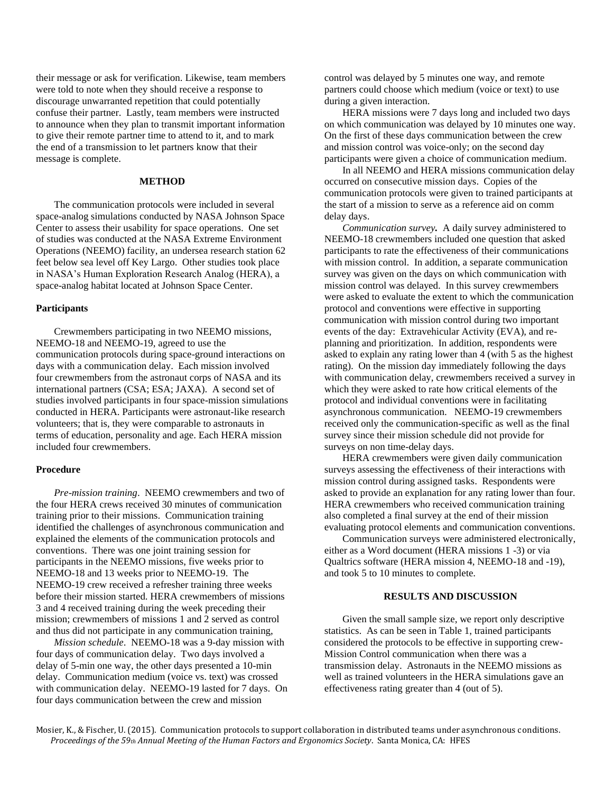their message or ask for verification. Likewise, team members were told to note when they should receive a response to discourage unwarranted repetition that could potentially confuse their partner. Lastly, team members were instructed to announce when they plan to transmit important information to give their remote partner time to attend to it, and to mark the end of a transmission to let partners know that their message is complete.

#### **METHOD**

The communication protocols were included in several space-analog simulations conducted by NASA Johnson Space Center to assess their usability for space operations. One set of studies was conducted at the NASA Extreme Environment Operations (NEEMO) facility, an undersea research station 62 feet below sea level off Key Largo. Other studies took place in NASA's Human Exploration Research Analog (HERA), a space-analog habitat located at Johnson Space Center.

#### **Participants**

Crewmembers participating in two NEEMO missions, NEEMO-18 and NEEMO-19, agreed to use the communication protocols during space-ground interactions on days with a communication delay. Each mission involved four crewmembers from the astronaut corps of NASA and its international partners (CSA; ESA; JAXA). A second set of studies involved participants in four space-mission simulations conducted in HERA. Participants were astronaut-like research volunteers; that is, they were comparable to astronauts in terms of education, personality and age. Each HERA mission included four crewmembers.

#### **Procedure**

*Pre-mission training*. NEEMO crewmembers and two of the four HERA crews received 30 minutes of communication training prior to their missions. Communication training identified the challenges of asynchronous communication and explained the elements of the communication protocols and conventions. There was one joint training session for participants in the NEEMO missions, five weeks prior to NEEMO-18 and 13 weeks prior to NEEMO-19. The NEEMO-19 crew received a refresher training three weeks before their mission started. HERA crewmembers of missions 3 and 4 received training during the week preceding their mission; crewmembers of missions 1 and 2 served as control and thus did not participate in any communication training,

*Mission schedule*. NEEMO-18 was a 9-day mission with four days of communication delay. Two days involved a delay of 5-min one way, the other days presented a 10-min delay. Communication medium (voice vs. text) was crossed with communication delay. NEEMO-19 lasted for 7 days. On four days communication between the crew and mission

control was delayed by 5 minutes one way, and remote partners could choose which medium (voice or text) to use during a given interaction.

HERA missions were 7 days long and included two days on which communication was delayed by 10 minutes one way. On the first of these days communication between the crew and mission control was voice-only; on the second day participants were given a choice of communication medium.

In all NEEMO and HERA missions communication delay occurred on consecutive mission days. Copies of the communication protocols were given to trained participants at the start of a mission to serve as a reference aid on comm delay days.

*Communication survey.* A daily survey administered to NEEMO-18 crewmembers included one question that asked participants to rate the effectiveness of their communications with mission control. In addition, a separate communication survey was given on the days on which communication with mission control was delayed. In this survey crewmembers were asked to evaluate the extent to which the communication protocol and conventions were effective in supporting communication with mission control during two important events of the day: Extravehicular Activity (EVA), and replanning and prioritization. In addition, respondents were asked to explain any rating lower than 4 (with 5 as the highest rating). On the mission day immediately following the days with communication delay, crewmembers received a survey in which they were asked to rate how critical elements of the protocol and individual conventions were in facilitating asynchronous communication. NEEMO-19 crewmembers received only the communication-specific as well as the final survey since their mission schedule did not provide for surveys on non time-delay days.

HERA crewmembers were given daily communication surveys assessing the effectiveness of their interactions with mission control during assigned tasks. Respondents were asked to provide an explanation for any rating lower than four. HERA crewmembers who received communication training also completed a final survey at the end of their mission evaluating protocol elements and communication conventions.

Communication surveys were administered electronically, either as a Word document (HERA missions 1 -3) or via Qualtrics software (HERA mission 4, NEEMO-18 and -19), and took 5 to 10 minutes to complete.

# **RESULTS AND DISCUSSION**

Given the small sample size, we report only descriptive statistics. As can be seen in Table 1, trained participants considered the protocols to be effective in supporting crew-Mission Control communication when there was a transmission delay. Astronauts in the NEEMO missions as well as trained volunteers in the HERA simulations gave an effectiveness rating greater than 4 (out of 5).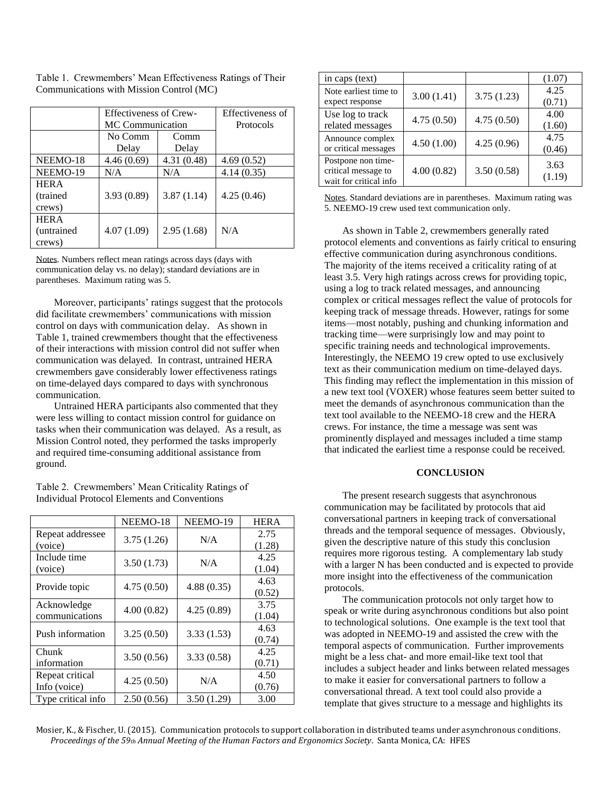|                                             | Effectiveness of Crew- | Effectiveness of |            |
|---------------------------------------------|------------------------|------------------|------------|
|                                             | MC Communication       |                  | Protocols  |
|                                             | No Comm<br>Comm        |                  |            |
|                                             | Delay                  | Delay            |            |
| NEEMO-18                                    | 4.46(0.69)             | 4.31(0.48)       | 4.69(0.52) |
| NEEMO-19                                    | N/A                    | N/A              | 4.14(0.35) |
| <b>HERA</b><br>(trained)<br>crews)          | 3.93(0.89)             | 3.87(1.14)       | 4.25(0.46) |
| <b>HERA</b><br><i>(untrained)</i><br>crews) | 4.07(1.09)             | 2.95(1.68)       | N/A        |

Table 1. Crewmembers' Mean Effectiveness Ratings of Their Communications with Mission Control (MC)

Notes. Numbers reflect mean ratings across days (days with communication delay vs. no delay); standard deviations are in parentheses. Maximum rating was 5.

Moreover, participants' ratings suggest that the protocols did facilitate crewmembers' communications with mission control on days with communication delay. As shown in Table 1, trained crewmembers thought that the effectiveness of their interactions with mission control did not suffer when communication was delayed. In contrast, untrained HERA crewmembers gave considerably lower effectiveness ratings on time-delayed days compared to days with synchronous communication.

Untrained HERA participants also commented that they were less willing to contact mission control for guidance on tasks when their communication was delayed. As a result, as Mission Control noted, they performed the tasks improperly and required time-consuming additional assistance from ground.

| Table 2. Crewmembers' Mean Criticality Ratings of |  |  |
|---------------------------------------------------|--|--|
| Individual Protocol Elements and Conventions      |  |  |

|                                 | NEEMO-18   | NEEMO-19   | <b>HERA</b>    |
|---------------------------------|------------|------------|----------------|
| Repeat addressee<br>(voice)     | 3.75(1.26) | N/A        | 2.75<br>(1.28) |
| Include time<br>(voice)         | 3.50(1.73) | N/A        | 4.25<br>(1.04) |
| Provide topic                   | 4.75(0.50) | 4.88(0.35) | 4.63<br>(0.52) |
| Acknowledge<br>communications   | 4.00(0.82) | 4.25(0.89) | 3.75<br>(1.04) |
| Push information                | 3.25(0.50) | 3.33(1.53) | 4.63<br>(0.74) |
| Chunk<br>information            | 3.50(0.56) | 3.33(0.58) | 4.25<br>(0.71) |
| Repeat critical<br>Info (voice) | 4.25(0.50) | N/A        | 4.50<br>(0.76) |
| Type critical info              | 2.50(0.56) | 3.50(1.29) | 3.00           |

| in caps (text)                                                      |            |            | (1.07)         |
|---------------------------------------------------------------------|------------|------------|----------------|
| Note earliest time to<br>expect response                            | 3.00(1.41) | 3.75(1.23) | 4.25<br>(0.71) |
| Use log to track<br>related messages                                | 4.75(0.50) | 4.75(0.50) | 4.00<br>(1.60) |
| Announce complex<br>or critical messages                            | 4.50(1.00) | 4.25(0.96) | 4.75<br>(0.46) |
| Postpone non time-<br>critical message to<br>wait for critical info | 4.00(0.82) | 3.50(0.58) | 3.63<br>(1.19) |

Notes. Standard deviations are in parentheses. Maximum rating was 5. NEEMO-19 crew used text communication only.

As shown in Table 2, crewmembers generally rated protocol elements and conventions as fairly critical to ensuring effective communication during asynchronous conditions. The majority of the items received a criticality rating of at least 3.5. Very high ratings across crews for providing topic, using a log to track related messages, and announcing complex or critical messages reflect the value of protocols for keeping track of message threads. However, ratings for some items—most notably, pushing and chunking information and tracking time—were surprisingly low and may point to specific training needs and technological improvements. Interestingly, the NEEMO 19 crew opted to use exclusively text as their communication medium on time-delayed days. This finding may reflect the implementation in this mission of a new text tool (VOXER) whose features seem better suited to meet the demands of asynchronous communication than the text tool available to the NEEMO-18 crew and the HERA crews. For instance, the time a message was sent was prominently displayed and messages included a time stamp that indicated the earliest time a response could be received.

#### **CONCLUSION**

The present research suggests that asynchronous communication may be facilitated by protocols that aid conversational partners in keeping track of conversational threads and the temporal sequence of messages. Obviously, given the descriptive nature of this study this conclusion requires more rigorous testing. A complementary lab study with a larger N has been conducted and is expected to provide more insight into the effectiveness of the communication protocols.

The communication protocols not only target how to speak or write during asynchronous conditions but also point to technological solutions. One example is the text tool that was adopted in NEEMO-19 and assisted the crew with the temporal aspects of communication. Further improvements might be a less chat- and more email-like text tool that includes a subject header and links between related messages to make it easier for conversational partners to follow a conversational thread. A text tool could also provide a template that gives structure to a message and highlights its